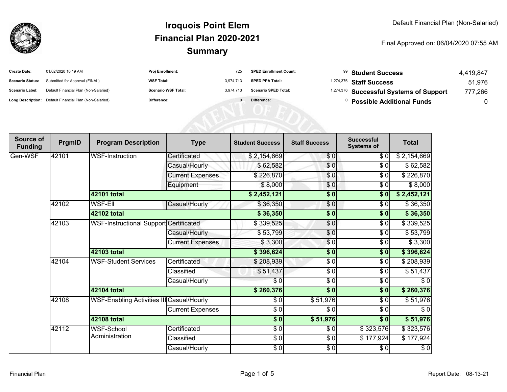

| <b>Create Date:</b>     | 01/02/2020 10:19 AM                                     | <b>Proj Enrollment:</b>    | 725       | <b>SPED Enrollment Count:</b> | <sup>99</sup> Student Success           | 4,419,847 |
|-------------------------|---------------------------------------------------------|----------------------------|-----------|-------------------------------|-----------------------------------------|-----------|
| <b>Scenario Status:</b> | Submitted for Approval (FINAL)                          | <b>WSF Total:</b>          | 3,974,713 | <b>SPED PPA Total:</b>        | <sup>1,274,376</sup> Staff Success      | 51,976    |
| <b>Scenario Label:</b>  | Default Financial Plan (Non-Salaried)                   | <b>Scenario WSF Total:</b> | 3.974.713 | <b>Scenario SPED Total:</b>   | 1,274,376 Successful Systems of Support | 777,266   |
|                         | Long Description: Default Financial Plan (Non-Salaried) | Difference:                |           | Difference:                   | <sup>0</sup> Possible Additional Funds  | 0         |
|                         |                                                         |                            |           |                               |                                         |           |
|                         |                                                         |                            |           |                               |                                         |           |
|                         |                                                         |                            |           |                               |                                         |           |

| Source of<br><b>Funding</b> | PrgmID | <b>Program Description</b>                       | <b>Type</b>             | <b>Student Success</b>   | <b>Staff Success</b>   | <b>Successful</b><br><b>Systems of</b> | <b>Total</b> |
|-----------------------------|--------|--------------------------------------------------|-------------------------|--------------------------|------------------------|----------------------------------------|--------------|
| Gen-WSF                     | 42101  | WSF-Instruction                                  | Certificated            | \$2,154,669              | \$0                    | \$0                                    | \$2,154,669  |
|                             |        |                                                  | Casual/Hourly           | \$62,582                 | $\overline{\$0}$       | \$0                                    | \$62,582     |
|                             |        |                                                  | <b>Current Expenses</b> | \$226,870                | \$0                    | \$0                                    | \$226,870    |
|                             |        |                                                  | Equipment               | \$8,000                  | \$0                    | \$0                                    | \$8,000      |
|                             |        | 42101 total                                      |                         | \$2,452,121              | $\frac{1}{2}$          | \$0                                    | \$2,452,121  |
|                             | 42102  | <b>WSF-EII</b>                                   | Casual/Hourly           | \$36,350                 | \$0                    | \$0                                    | \$36,350     |
|                             |        | 42102 total                                      |                         | \$36,350                 | \$0                    | \$0                                    | \$36,350     |
|                             | 42103  | <b>WSF-Instructional Support Certificated</b>    |                         | \$339,525                | $\sqrt{6}$             | $\frac{3}{6}$                          | \$339,525    |
|                             |        |                                                  | Casual/Hourly           | \$53,799                 | $\frac{6}{3}$          | \$0                                    | \$53,799     |
|                             |        |                                                  | <b>Current Expenses</b> | \$3,300                  | \$0                    | \$0                                    | \$3,300      |
|                             |        | 42103 total                                      |                         | \$396,624                | \$0                    | \$0                                    | \$396,624    |
|                             | 42104  | <b>WSF-Student Services</b>                      | Certificated            | \$208,939                | $\sqrt{6}$             | $\sqrt{6}$                             | \$208,939    |
|                             |        |                                                  | Classified              | \$51,437                 | $\frac{6}{6}$          | \$0                                    | \$51,437     |
|                             |        |                                                  | Casual/Hourly           | \$0                      | $\sqrt{6}$             | \$0                                    | $\sqrt{6}$   |
|                             |        | 42104 total                                      |                         | \$260,376                | $\overline{\bullet}$ 0 | \$0                                    | \$260,376    |
|                             | 42108  | <b>WSF-Enabling Activities III Casual/Hourly</b> |                         | \$0                      | \$51,976               | \$0                                    | \$51,976     |
|                             |        |                                                  | <b>Current Expenses</b> | $\overline{\frac{1}{2}}$ | \$0                    | \$0                                    | $\sqrt{6}$   |
|                             |        | <b>42108 total</b>                               |                         | $\overline{\bullet}$     | \$51,976               | \$0                                    | \$51,976     |
|                             | 42112  | WSF-School                                       | Certificated            | $\frac{1}{\epsilon}$     | \$0                    | \$323,576                              | \$323,576    |
|                             |        | Administration                                   | Classified              | $\frac{6}{6}$            | $\frac{6}{6}$          | \$177,924                              | \$177,924    |
|                             |        |                                                  | Casual/Hourly           | $\sqrt{6}$               | $\frac{6}{6}$          | \$0                                    | $\sqrt{6}$   |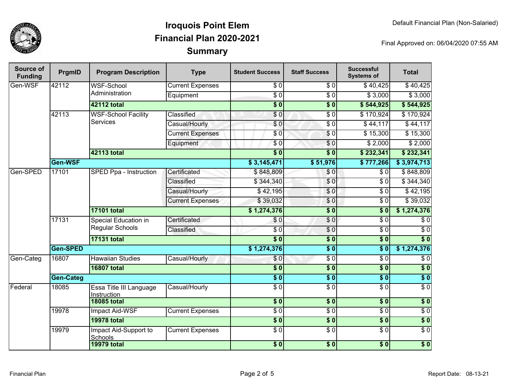

| Source of<br><b>Funding</b> | PrgmID           | <b>Program Description</b>                     | <b>Type</b>             | <b>Student Success</b> | <b>Staff Success</b>       | <b>Successful</b><br><b>Systems of</b> | <b>Total</b>     |
|-----------------------------|------------------|------------------------------------------------|-------------------------|------------------------|----------------------------|----------------------------------------|------------------|
| Gen-WSF                     | 42112            | <b>WSF-School</b><br>Administration            | <b>Current Expenses</b> | \$0                    | \$0                        | \$40,425                               | \$40,425         |
|                             |                  |                                                | Equipment               | $\overline{S}0$        | $\overline{S}0$            | \$3,000                                | \$3,000          |
|                             |                  | 42112 total                                    |                         | $\overline{\$0}$       | $\overline{\$0}$           | \$544,925                              | \$544,925        |
|                             | 42113            | <b>WSF-School Facility</b><br><b>Services</b>  | <b>Classified</b>       | \$0                    | $\overline{\$0}$           | \$170,924                              | \$170,924        |
|                             |                  |                                                | Casual/Hourly           | $\overline{S}0$        | $\overline{30}$            | \$44,117                               | \$44,117         |
|                             |                  |                                                | <b>Current Expenses</b> | \$0                    | $\sqrt{6}$                 | \$15,300                               | \$15,300         |
|                             |                  |                                                | Equipment               | $\overline{\$0}$       | $\overline{\$0}$           | \$2,000                                | \$2,000          |
|                             |                  | 42113 total                                    |                         | $\overline{\$0}$       | $\overline{\$0}$           | \$232,341                              | \$232,341        |
|                             | Gen-WSF          |                                                |                         | \$3,145,471            | \$51,976                   | \$777,266                              | \$3,974,713      |
| Gen-SPED                    | 17101            | <b>SPED Ppa - Instruction</b>                  | Certificated            | \$848,809              | \$0                        | $\sqrt{3}0$                            | \$848,809        |
|                             |                  |                                                | Classified              | \$344,340              | \$0                        | $\sqrt{3}0$                            | \$344,340        |
|                             |                  |                                                | Casual/Hourly           | \$42,195               | \$0                        | $\overline{\$0}$                       | \$42,195         |
|                             |                  |                                                | <b>Current Expenses</b> | \$39,032               | \$0                        | $\overline{\$0}$                       | \$39,032         |
|                             |                  | <b>17101 total</b>                             |                         | \$1,274,376            | $\overline{\$0}$           | $\overline{\$}0$                       | \$1,274,376      |
|                             | 17131            | Special Education in<br><b>Regular Schools</b> | Certificated            | \$0                    | \$0                        | $\overline{\$0}$                       | $\overline{\$0}$ |
|                             |                  |                                                | Classified              | $\overline{30}$        | $\overline{\$0}$           | $\sqrt{6}$                             | $\overline{30}$  |
|                             |                  | <b>17131 total</b>                             |                         | $\overline{\$0}$       | $\overline{\$0}$           | $\overline{\$0}$                       | $\overline{\$0}$ |
|                             | Gen-SPED         |                                                | \$1,274,376             | $\overline{\$0}$       | $\overline{\$0}$           | \$1,274,376                            |                  |
| Gen-Categ                   | 16807            | <b>Hawaiian Studies</b>                        | Casual/Hourly           | \$0                    | $\overline{\$0}$           | $\sqrt{6}$                             | $\overline{30}$  |
|                             |                  | <b>16807 total</b>                             |                         | $\overline{\$0}$       | $\overline{\$0}$           | $\overline{\$0}$                       | $\overline{\$}0$ |
|                             | <b>Gen-Categ</b> |                                                |                         | $\overline{\bullet}$   | $\overline{\$0}$           | $\overline{\$0}$                       | $\overline{\$0}$ |
| Federal                     | 18085            | <b>Essa Title III Language</b><br>Instruction  | Casual/Hourly           | $\overline{30}$        | $\overline{S}0$            | $\overline{\$0}$                       | $\overline{60}$  |
|                             |                  | <b>18085 total</b>                             |                         | $\overline{\$0}$       | $\overline{\phantom{0}30}$ | $\overline{\$0}$                       | $\overline{\$0}$ |
|                             | 19978            | Impact Aid-WSF                                 | <b>Current Expenses</b> | $\overline{\$0}$       | $\overline{\$0}$           | $\overline{\$0}$                       | $\overline{\$0}$ |
|                             |                  | <b>19978 total</b>                             |                         | $\overline{\$}0$       | $\overline{\$0}$           | \$0                                    | $\sqrt{ }$       |
|                             | 19979            | Impact Aid-Support to<br>Schools               | <b>Current Expenses</b> | $\overline{\$0}$       | $\overline{\$0}$           | $\overline{\$0}$                       | $\overline{30}$  |
|                             |                  | <b>19979 total</b>                             |                         | $\sqrt{6}$             | $\sqrt{6}$                 | \$0                                    | $\overline{\$0}$ |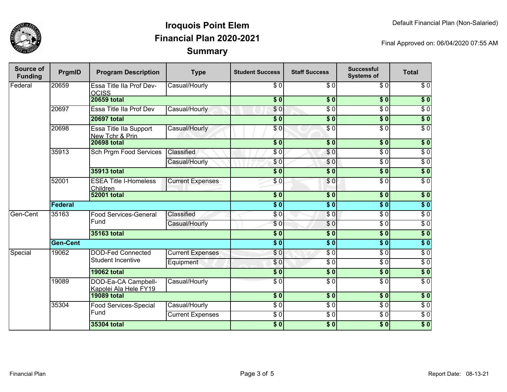

| Source of<br><b>Funding</b> | PrgmID          | <b>Program Description</b>                       | <b>Type</b>             | <b>Student Success</b>   | <b>Staff Success</b>     | <b>Successful</b><br><b>Systems of</b>                      | <b>Total</b>     |                 |
|-----------------------------|-----------------|--------------------------------------------------|-------------------------|--------------------------|--------------------------|-------------------------------------------------------------|------------------|-----------------|
| <b>IFederal</b>             | 20659           | Essa Title IIa Prof Dev-<br><b>OCISS</b>         | Casual/Hourly           | \$0                      | \$0                      | \$0                                                         | $\overline{\$0}$ |                 |
|                             |                 | <b>20659 total</b>                               |                         | $\overline{\bullet}$     | $\overline{\phantom{a}}$ | s <sub>0</sub>                                              | $\overline{\$0}$ |                 |
|                             | 20697           | Essa Title IIa Prof Dev                          | Casual/Hourly           | \$0                      | $\overline{\$0}$         | $\overline{\$0}$                                            | $\overline{\$0}$ |                 |
|                             |                 | <b>20697 total</b>                               |                         | \$0                      | \$0                      | \$0                                                         | $\sqrt{6}$       |                 |
|                             | 20698           | <b>Essa Title Ila Support</b><br>New Tchr & Prin | Casual/Hourly           | \$0                      | $\overline{\$0}$         | $\overline{\$0}$                                            | $\overline{\$0}$ |                 |
|                             |                 | <b>20698 total</b>                               |                         | $\overline{\$0}$         | \$0                      | \$0                                                         | $\overline{\$0}$ |                 |
|                             | 35913           | <b>Sch Prgm Food Services</b>                    | Classified              | \$0                      | \$0                      | $\overline{\$0}$                                            | $\sqrt{6}$       |                 |
|                             |                 |                                                  | Casual/Hourly           | \$0                      | $\frac{6}{3}$            | $\sqrt{6}$                                                  | $\sqrt{6}$       |                 |
|                             |                 | 35913 total                                      |                         | \$0                      | $\overline{\$0}$         | \$0                                                         | $\overline{\$0}$ |                 |
|                             | 52001           | <b>ESEA Title I-Homeless</b><br>Children         | <b>Current Expenses</b> | \$0                      | \$0                      | $\sqrt{6}$                                                  | $\overline{\$0}$ |                 |
|                             |                 | <b>52001 total</b>                               |                         | $\overline{\$0}$<br>50   | $\overline{\$0}$         | s <sub>0</sub>                                              | $\overline{\$0}$ |                 |
|                             | Federal         |                                                  |                         |                          | $\overline{\$0}$         | $\overline{\boldsymbol{\mathsf{S}}\boldsymbol{\mathsf{0}}}$ | $\overline{\$0}$ |                 |
| Gen-Cent                    | 35163           | <b>Food Services-General</b>                     | Classified              | \$0                      | \$0                      | $\overline{\$0}$                                            | $\overline{\$0}$ |                 |
|                             |                 | Fund                                             | Casual/Hourly           | \$0                      | $\overline{S}0$          | $\overline{\$0}$                                            | $\overline{\$0}$ |                 |
|                             |                 | 35163 total                                      |                         | $\overline{\$0}$         | $\overline{\$0}$         | $\overline{\$0}$                                            | $\overline{\$0}$ |                 |
|                             | <b>Gen-Cent</b> |                                                  |                         | $\overline{\bullet}$     | $\overline{\$0}$         | $\overline{\bullet}$ 0                                      | $\overline{\$0}$ |                 |
| Special                     | 19062           | <b>DOD-Fed Connected</b>                         | <b>Current Expenses</b> | \$0                      | $\overline{\$0}$         | $\overline{\$0}$                                            | $\overline{\$0}$ |                 |
|                             |                 |                                                  | Student Incentive       | Equipment                | \$0                      | $\overline{\$0}$                                            | $\overline{\$0}$ | $\overline{S}0$ |
|                             |                 | <b>19062 total</b>                               |                         | $\overline{\$0}$         | $\overline{\$0}$         | $\overline{\$0}$                                            | $\overline{\$0}$ |                 |
|                             | 19089           | DOD-Ea-CA Campbell-<br>Kapolei Ala Hele FY19     | Casual/Hourly           | $\overline{\$0}$         | $\overline{S}0$          | $\overline{\$0}$                                            | $\overline{\$0}$ |                 |
|                             |                 | <b>19089 total</b>                               |                         | $\overline{\textbf{50}}$ | s <sub>0</sub>           | \$0                                                         | $\overline{\$0}$ |                 |
|                             | 35304           | <b>Food Services-Special</b><br>Fund             | Casual/Hourly           | $\overline{\$0}$         | $\overline{\$0}$         | $\overline{\$0}$                                            | $\overline{\$0}$ |                 |
|                             |                 |                                                  | <b>Current Expenses</b> | $\overline{\$0}$         | $\overline{\$0}$         | $\overline{\$0}$                                            | $\overline{\$0}$ |                 |
|                             |                 | 35304 total                                      |                         | $\frac{1}{2}$            | $\overline{\$0}$         | 30                                                          | $\overline{\$0}$ |                 |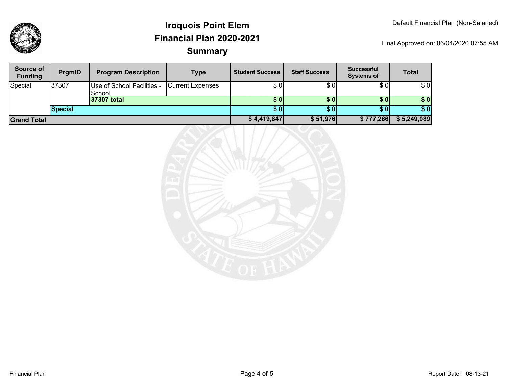



| Source of<br><b>Funding</b> | PrgmID         | <b>Program Description</b>           | <b>Type</b>             | <b>Student Success</b> | <b>Staff Success</b> | <b>Successful</b><br><b>Systems of</b> | <b>Total</b> |
|-----------------------------|----------------|--------------------------------------|-------------------------|------------------------|----------------------|----------------------------------------|--------------|
| Special                     | 37307          | Use of School Facilities -<br>School | <b>Current Expenses</b> | \$ 01                  | \$ 0 I               | \$0                                    | \$0          |
|                             |                | 37307 total                          |                         | \$01                   | S <sub>0</sub>       | \$01                                   | \$0          |
|                             | <b>Special</b> |                                      |                         | \$ 0 I                 | <b>SO</b>            | S <sub>0</sub>                         | \$0          |
| <b>Sand Total</b>           |                |                                      | \$4,419,847             | \$51,976               | \$777,266            | \$5,249,089                            |              |